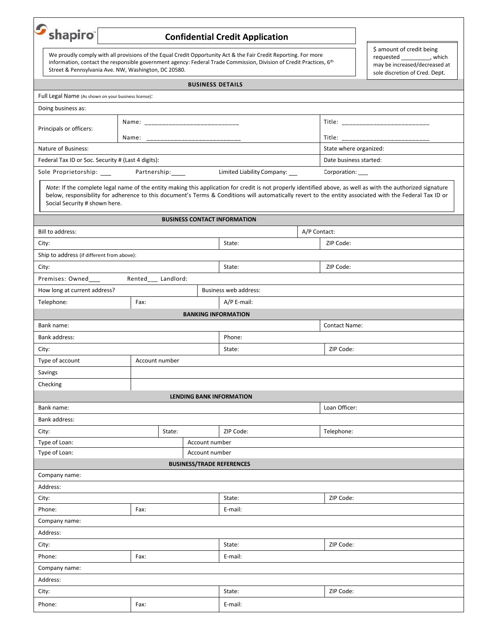| $S_{\text{shapiro}}$                                                                                                                                                                                                                                                                           |                                                                                                                                                                                                                                                                                                                                                          |                     |                     |                                  | <b>Confidential Credit Application</b> |              |                                                                                                                              |  |  |
|------------------------------------------------------------------------------------------------------------------------------------------------------------------------------------------------------------------------------------------------------------------------------------------------|----------------------------------------------------------------------------------------------------------------------------------------------------------------------------------------------------------------------------------------------------------------------------------------------------------------------------------------------------------|---------------------|---------------------|----------------------------------|----------------------------------------|--------------|------------------------------------------------------------------------------------------------------------------------------|--|--|
| We proudly comply with all provisions of the Equal Credit Opportunity Act & the Fair Credit Reporting. For more<br>information, contact the responsible government agency: Federal Trade Commission, Division of Credit Practices, 6th<br>Street & Pennsylvania Ave. NW, Washington, DC 20580. |                                                                                                                                                                                                                                                                                                                                                          |                     |                     |                                  |                                        |              | \$ amount of credit being<br>requested ___________, which<br>may be increased/decreased at<br>sole discretion of Cred. Dept. |  |  |
|                                                                                                                                                                                                                                                                                                |                                                                                                                                                                                                                                                                                                                                                          |                     |                     | <b>BUSINESS DETAILS</b>          |                                        |              |                                                                                                                              |  |  |
| Full Legal Name (As shown on your business license):                                                                                                                                                                                                                                           |                                                                                                                                                                                                                                                                                                                                                          |                     |                     |                                  |                                        |              |                                                                                                                              |  |  |
| Doing business as:                                                                                                                                                                                                                                                                             |                                                                                                                                                                                                                                                                                                                                                          |                     |                     |                                  |                                        |              |                                                                                                                              |  |  |
| Principals or officers:                                                                                                                                                                                                                                                                        |                                                                                                                                                                                                                                                                                                                                                          |                     |                     |                                  |                                        |              |                                                                                                                              |  |  |
|                                                                                                                                                                                                                                                                                                |                                                                                                                                                                                                                                                                                                                                                          | Name:               |                     | _____________________________    |                                        |              |                                                                                                                              |  |  |
| Nature of Business:                                                                                                                                                                                                                                                                            |                                                                                                                                                                                                                                                                                                                                                          |                     |                     |                                  |                                        |              | State where organized:                                                                                                       |  |  |
| Federal Tax ID or Soc. Security # (Last 4 digits):                                                                                                                                                                                                                                             |                                                                                                                                                                                                                                                                                                                                                          |                     |                     |                                  |                                        |              | Date business started:                                                                                                       |  |  |
| Sole Proprietorship: ____                                                                                                                                                                                                                                                                      |                                                                                                                                                                                                                                                                                                                                                          | Partnership: 1888   |                     |                                  | Limited Liability Company: __          |              | Corporation: ____                                                                                                            |  |  |
|                                                                                                                                                                                                                                                                                                | Note: If the complete legal name of the entity making this application for credit is not properly identified above, as well as with the authorized signature<br>below, responsibility for adherence to this document's Terms & Conditions will automatically revert to the entity associated with the Federal Tax ID or<br>Social Security # shown here. |                     |                     |                                  |                                        |              |                                                                                                                              |  |  |
|                                                                                                                                                                                                                                                                                                |                                                                                                                                                                                                                                                                                                                                                          |                     |                     |                                  | <b>BUSINESS CONTACT INFORMATION</b>    |              |                                                                                                                              |  |  |
| Bill to address:                                                                                                                                                                                                                                                                               |                                                                                                                                                                                                                                                                                                                                                          |                     |                     |                                  |                                        | A/P Contact: |                                                                                                                              |  |  |
| City:                                                                                                                                                                                                                                                                                          |                                                                                                                                                                                                                                                                                                                                                          |                     |                     |                                  | State:                                 |              | ZIP Code:                                                                                                                    |  |  |
| Ship to address (if different from above):                                                                                                                                                                                                                                                     |                                                                                                                                                                                                                                                                                                                                                          |                     |                     |                                  |                                        |              |                                                                                                                              |  |  |
| City:                                                                                                                                                                                                                                                                                          |                                                                                                                                                                                                                                                                                                                                                          |                     |                     |                                  | State:                                 |              | ZIP Code:                                                                                                                    |  |  |
| Premises: Owned____                                                                                                                                                                                                                                                                            |                                                                                                                                                                                                                                                                                                                                                          | Rented___ Landlord: |                     |                                  |                                        |              |                                                                                                                              |  |  |
| How long at current address?                                                                                                                                                                                                                                                                   |                                                                                                                                                                                                                                                                                                                                                          |                     |                     |                                  | Business web address:                  |              |                                                                                                                              |  |  |
| Telephone:                                                                                                                                                                                                                                                                                     |                                                                                                                                                                                                                                                                                                                                                          | Fax:                |                     |                                  | A/P E-mail:                            |              |                                                                                                                              |  |  |
|                                                                                                                                                                                                                                                                                                |                                                                                                                                                                                                                                                                                                                                                          |                     |                     | <b>BANKING INFORMATION</b>       |                                        |              |                                                                                                                              |  |  |
| Bank name:                                                                                                                                                                                                                                                                                     |                                                                                                                                                                                                                                                                                                                                                          |                     |                     |                                  |                                        |              | <b>Contact Name:</b>                                                                                                         |  |  |
| Bank address:                                                                                                                                                                                                                                                                                  |                                                                                                                                                                                                                                                                                                                                                          |                     |                     |                                  | Phone:                                 |              |                                                                                                                              |  |  |
| City:                                                                                                                                                                                                                                                                                          |                                                                                                                                                                                                                                                                                                                                                          |                     |                     |                                  | State:                                 |              | ZIP Code:                                                                                                                    |  |  |
| Type of account                                                                                                                                                                                                                                                                                |                                                                                                                                                                                                                                                                                                                                                          | Account number      |                     |                                  |                                        |              |                                                                                                                              |  |  |
| Savings                                                                                                                                                                                                                                                                                        |                                                                                                                                                                                                                                                                                                                                                          |                     |                     |                                  |                                        |              |                                                                                                                              |  |  |
| Checking                                                                                                                                                                                                                                                                                       |                                                                                                                                                                                                                                                                                                                                                          |                     |                     |                                  |                                        |              |                                                                                                                              |  |  |
|                                                                                                                                                                                                                                                                                                |                                                                                                                                                                                                                                                                                                                                                          |                     |                     | <b>LENDING BANK INFORMATION</b>  |                                        |              |                                                                                                                              |  |  |
| Bank name:                                                                                                                                                                                                                                                                                     |                                                                                                                                                                                                                                                                                                                                                          |                     |                     |                                  |                                        |              | Loan Officer:                                                                                                                |  |  |
| Bank address:                                                                                                                                                                                                                                                                                  |                                                                                                                                                                                                                                                                                                                                                          |                     |                     |                                  |                                        |              |                                                                                                                              |  |  |
| City:                                                                                                                                                                                                                                                                                          |                                                                                                                                                                                                                                                                                                                                                          |                     | State:              |                                  | ZIP Code:                              |              | Telephone:                                                                                                                   |  |  |
| Type of Loan:                                                                                                                                                                                                                                                                                  |                                                                                                                                                                                                                                                                                                                                                          |                     |                     | Account number                   |                                        |              |                                                                                                                              |  |  |
| Type of Loan:                                                                                                                                                                                                                                                                                  |                                                                                                                                                                                                                                                                                                                                                          |                     |                     | Account number                   |                                        |              |                                                                                                                              |  |  |
|                                                                                                                                                                                                                                                                                                |                                                                                                                                                                                                                                                                                                                                                          |                     |                     | <b>BUSINESS/TRADE REFERENCES</b> |                                        |              |                                                                                                                              |  |  |
| Company name:                                                                                                                                                                                                                                                                                  |                                                                                                                                                                                                                                                                                                                                                          |                     |                     |                                  |                                        |              |                                                                                                                              |  |  |
| Address:                                                                                                                                                                                                                                                                                       |                                                                                                                                                                                                                                                                                                                                                          |                     |                     |                                  |                                        |              |                                                                                                                              |  |  |
| City:                                                                                                                                                                                                                                                                                          |                                                                                                                                                                                                                                                                                                                                                          |                     | ZIP Code:<br>State: |                                  |                                        |              |                                                                                                                              |  |  |
| Phone:<br>Fax:                                                                                                                                                                                                                                                                                 |                                                                                                                                                                                                                                                                                                                                                          |                     | E-mail:             |                                  |                                        |              |                                                                                                                              |  |  |
| Company name:                                                                                                                                                                                                                                                                                  |                                                                                                                                                                                                                                                                                                                                                          |                     |                     |                                  |                                        |              |                                                                                                                              |  |  |
| Address:                                                                                                                                                                                                                                                                                       |                                                                                                                                                                                                                                                                                                                                                          |                     |                     |                                  |                                        |              |                                                                                                                              |  |  |
| City:                                                                                                                                                                                                                                                                                          |                                                                                                                                                                                                                                                                                                                                                          |                     |                     |                                  | State:                                 |              | ZIP Code:                                                                                                                    |  |  |
| Phone:<br>Fax:                                                                                                                                                                                                                                                                                 |                                                                                                                                                                                                                                                                                                                                                          |                     | E-mail:             |                                  |                                        |              |                                                                                                                              |  |  |
| Company name:                                                                                                                                                                                                                                                                                  |                                                                                                                                                                                                                                                                                                                                                          |                     |                     |                                  |                                        |              |                                                                                                                              |  |  |
| Address:                                                                                                                                                                                                                                                                                       |                                                                                                                                                                                                                                                                                                                                                          |                     |                     |                                  |                                        |              |                                                                                                                              |  |  |
| City:                                                                                                                                                                                                                                                                                          |                                                                                                                                                                                                                                                                                                                                                          |                     | State:              |                                  | ZIP Code:                              |              |                                                                                                                              |  |  |
| Phone:                                                                                                                                                                                                                                                                                         |                                                                                                                                                                                                                                                                                                                                                          | Fax:                |                     |                                  | E-mail:                                |              |                                                                                                                              |  |  |
|                                                                                                                                                                                                                                                                                                |                                                                                                                                                                                                                                                                                                                                                          |                     |                     |                                  |                                        |              |                                                                                                                              |  |  |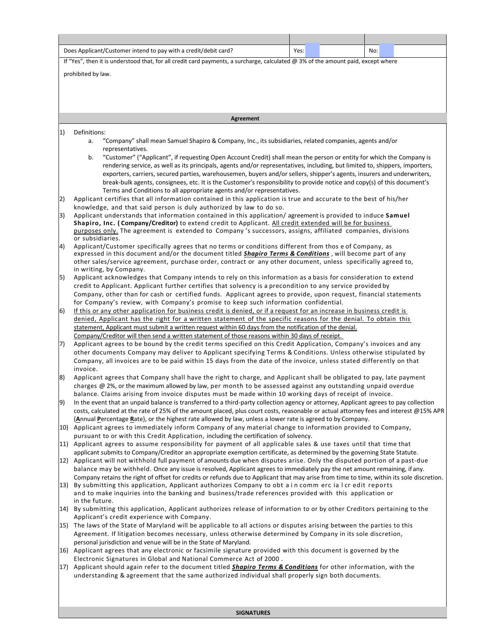|             | Does Applicant/Customer intend to pay with a credit/debit card?<br>Yes:<br>No:                                                                                                                                                                          |  |  |  |
|-------------|---------------------------------------------------------------------------------------------------------------------------------------------------------------------------------------------------------------------------------------------------------|--|--|--|
|             | If "Yes", then it is understood that, for all credit card payments, a surcharge, calculated @ 3% of the amount paid, except where                                                                                                                       |  |  |  |
|             |                                                                                                                                                                                                                                                         |  |  |  |
|             | prohibited by law.                                                                                                                                                                                                                                      |  |  |  |
|             |                                                                                                                                                                                                                                                         |  |  |  |
|             |                                                                                                                                                                                                                                                         |  |  |  |
|             |                                                                                                                                                                                                                                                         |  |  |  |
|             | Agreement                                                                                                                                                                                                                                               |  |  |  |
| 1)          | Definitions:                                                                                                                                                                                                                                            |  |  |  |
|             | "Company" shall mean Samuel Shapiro & Company, Inc., its subsidiaries, related companies, agents and/or<br>a.<br>representatives.                                                                                                                       |  |  |  |
|             | "Customer" ("Applicant", if requesting Open Account Credit) shall mean the person or entity for which the Company is<br>b.                                                                                                                              |  |  |  |
|             | rendering service, as well as its principals, agents and/or representatives, including, but limited to, shippers, importers,                                                                                                                            |  |  |  |
|             | exporters, carriers, secured parties, warehousemen, buyers and/or sellers, shipper's agents, insurers and underwriters,<br>break-bulk agents, consignees, etc. It is the Customer's responsibility to provide notice and copy(s) of this document's     |  |  |  |
|             | Terms and Conditions to all appropriate agents and/or representatives.                                                                                                                                                                                  |  |  |  |
| 2)          | Applicant certifies that all information contained in this application is true and accurate to the best of his/her                                                                                                                                      |  |  |  |
|             | knowledge, and that said person is duly authorized by law to do so.                                                                                                                                                                                     |  |  |  |
| 3)          | Applicant understands that information contained in this application/agreement is provided to induce Samuel<br>Shapiro, Inc. (Company/Creditor) to extend credit to Applicant. All credit extended will be for business                                 |  |  |  |
|             | purposes only. The agreement is extended to Company's successors, assigns, affiliated companies, divisions                                                                                                                                              |  |  |  |
| $ 4\rangle$ | or subsidiaries.<br>Applicant/Customer specifically agrees that no terms or conditions different from thos e of Company, as                                                                                                                             |  |  |  |
|             | expressed in this document and/or the document titled <b>Shapiro Terms &amp; Conditions</b> , will become part of any                                                                                                                                   |  |  |  |
|             | other sales/service agreement, purchase order, contract or any other document, unless specifically agreed to,<br>in writing, by Company.                                                                                                                |  |  |  |
| 5)          | Applicant acknowledges that Company intends to rely on this information as a basis for consideration to extend                                                                                                                                          |  |  |  |
|             | credit to Applicant. Applicant further certifies that solvency is a precondition to any service provided by                                                                                                                                             |  |  |  |
|             | Company, other than for cash or certified funds. Applicant agrees to provide, upon request, financial statements                                                                                                                                        |  |  |  |
| 6)          | for Company's review, with Company's promise to keep such information confidential.<br>If this or any other application for business credit is denied, or if a request for an increase in business credit is                                            |  |  |  |
|             | denied, Applicant has the right for a written statement of the specific reasons for the denial. To obtain this                                                                                                                                          |  |  |  |
|             | statement, Applicant must submit a written request within 60 days from the notification of the denial.                                                                                                                                                  |  |  |  |
| 7)          | Company/Creditor will then send a written statement of those reasons within 30 days of receipt.<br>Applicant agrees to be bound by the credit terms specified on this Credit Application, Company's invoices and any                                    |  |  |  |
|             | other documents Company may deliver to Applicant specifying Terms & Conditions. Unless otherwise stipulated by                                                                                                                                          |  |  |  |
|             | Company, all invoices are to be paid within 15 days from the date of the invoice, unless stated differently on that                                                                                                                                     |  |  |  |
|             | invoice.<br>Applicant agrees that Company shall have the right to charge, and Applicant shall be obligated to pay, late payment                                                                                                                         |  |  |  |
| 8)          | charges @ 2%, or the maximum allowed by law, per month to be assessed against any outstanding unpaid overdue                                                                                                                                            |  |  |  |
|             | balance. Claims arising from invoice disputes must be made within 10 working days of receipt of invoice.                                                                                                                                                |  |  |  |
| 9)          | In the event that an unpaid balance is transferred to a third-party collection agency or attorney, Applicant agrees to pay collection                                                                                                                   |  |  |  |
|             | costs, calculated at the rate of 25% of the amount placed, plus court costs, reasonable or actual attorney fees and interest @15% APR<br>(Annual Percentage Rate), or the highest rate allowed by law, unless a lower rate is agreed to by Company.     |  |  |  |
|             | 10) Applicant agrees to immediately inform Company of any material change to information provided to Company,                                                                                                                                           |  |  |  |
|             | pursuant to or with this Credit Application, including the certification of solvency.                                                                                                                                                                   |  |  |  |
|             | 11) Applicant agrees to assume responsibility for payment of all applicable sales & use taxes until that time that<br>applicant submits to Company/Creditor an appropriate exemption certificate, as determined by the governing State Statute.         |  |  |  |
|             | 12) Applicant will not withhold full payment of amounts due when disputes arise. Only the disputed portion of a past-due                                                                                                                                |  |  |  |
|             | balance may be withheld. Once any issue is resolved, Applicant agrees to immediately pay the net amount remaining, if any.                                                                                                                              |  |  |  |
|             | Company retains the right of offset for credits or refunds due to Applicant that may arise from time to time, within its sole discretion.<br>13) By submitting this application, Applicant authorizes Company to obt a in comm erc ia I cr edit reports |  |  |  |
|             | and to make inquiries into the banking and business/trade references provided with this application or                                                                                                                                                  |  |  |  |
|             | in the future.                                                                                                                                                                                                                                          |  |  |  |
|             | 14) By submitting this application, Applicant authorizes release of information to or by other Creditors pertaining to the<br>Applicant's credit experience with Company.                                                                               |  |  |  |
|             | 15) The laws of the State of Maryland will be applicable to all actions or disputes arising between the parties to this                                                                                                                                 |  |  |  |
|             | Agreement. If litigation becomes necessary, unless otherwise determined by Company in its sole discretion,                                                                                                                                              |  |  |  |
|             | personal jurisdiction and venue will be in the State of Maryland.<br>16) Applicant agrees that any electronic or facsimile signature provided with this document is governed by the                                                                     |  |  |  |
|             | Electronic Signatures in Global and National Commerce Act of 2000.                                                                                                                                                                                      |  |  |  |
|             | 17) Applicant should again refer to the document titled <b>Shapiro Terms &amp; Conditions</b> for other information, with the                                                                                                                           |  |  |  |
|             | understanding & agreement that the same authorized individual shall properly sign both documents.                                                                                                                                                       |  |  |  |
|             |                                                                                                                                                                                                                                                         |  |  |  |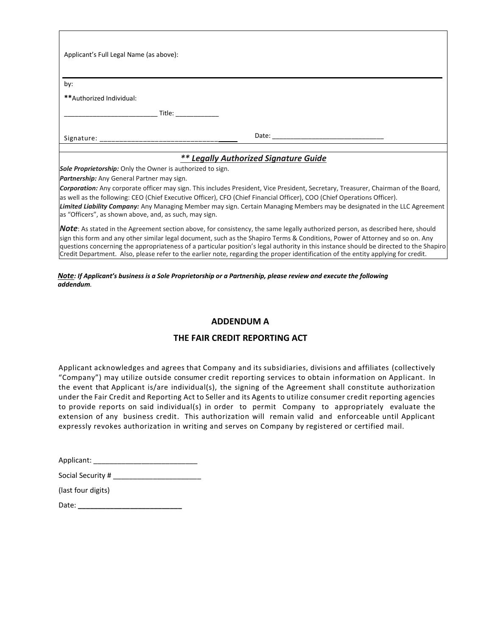| Applicant's Full Legal Name (as above):                                                                                                                                                                                       |                                                                                                                                                                                                                                                     |
|-------------------------------------------------------------------------------------------------------------------------------------------------------------------------------------------------------------------------------|-----------------------------------------------------------------------------------------------------------------------------------------------------------------------------------------------------------------------------------------------------|
| by:                                                                                                                                                                                                                           |                                                                                                                                                                                                                                                     |
| **Authorized Individual:                                                                                                                                                                                                      |                                                                                                                                                                                                                                                     |
| Title: when the control of the control of the control of the control of the control of the control of the control of the control of the control of the control of the control of the control of the control of the control of |                                                                                                                                                                                                                                                     |
|                                                                                                                                                                                                                               |                                                                                                                                                                                                                                                     |
|                                                                                                                                                                                                                               | ** Legally Authorized Signature Guide                                                                                                                                                                                                               |
| Sole Proprietorship: Only the Owner is authorized to sign.                                                                                                                                                                    |                                                                                                                                                                                                                                                     |
| <b>Partnership:</b> Any General Partner may sign.                                                                                                                                                                             |                                                                                                                                                                                                                                                     |
|                                                                                                                                                                                                                               | Corporation: Any corporate officer may sign. This includes President, Vice President, Secretary, Treasurer, Chairman of the Board,                                                                                                                  |
| as "Officers", as shown above, and, as such, may sign.                                                                                                                                                                        | as well as the following: CEO (Chief Executive Officer), CFO (Chief Financial Officer), COO (Chief Operations Officer).<br>Limited Liability Company: Any Managing Member may sign. Certain Managing Members may be designated in the LLC Agreement |

*Note*: As stated in the Agreement section above, for consistency, the same legally authorized person, as described here, should sign this form and any other similar legal document, such as the Shapiro Terms & Conditions, Power of Attorney and so on. Any questions concerning the appropriateness of a particular position's legal authority in this instance should be directed to the Shapiro Credit Department. Also, please refer to the earlier note, regarding the proper identification of the entity applying for credit.

## *Note: If Applicant's business is a Sole Proprietorship or a Partnership, please review and execute the following addendum.*

## **ADDENDUM A**

## **THE FAIR CREDIT REPORTING ACT**

Applicant acknowledges and agrees that Company and its subsidiaries, divisions and affiliates (collectively "Company") may utilize outside consumer credit reporting services to obtain information on Applicant. In the event that Applicant is/are individual(s), the signing of the Agreement shall constitute authorization under the Fair Credit and Reporting Act to Seller and its Agents to utilize consumer credit reporting agencies to provide reports on said individual(s) in order to permit Company to appropriately evaluate the extension of any business credit. This authorization will remain valid and enforceable until Applicant expressly revokes authorization in writing and serves on Company by registered or certified mail.

| Applicant: |  |
|------------|--|
|------------|--|

| Social Security # |  |
|-------------------|--|
|-------------------|--|

| (last four digits) |  |
|--------------------|--|
|--------------------|--|

Date: **\_\_\_\_\_\_\_\_\_\_\_\_\_\_\_\_\_\_\_\_\_\_\_\_\_\_**